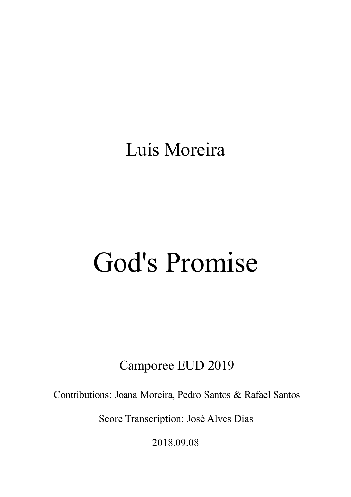## Luís Moreira

## God's Promise

## Camporee EUD 2019

Contributions: Joana Moreira, Pedro Santos & Rafael Santos

Score Transcription: José Alves Dias

201 8.09.08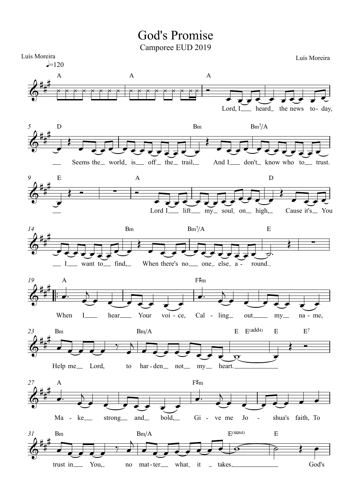## God's Promise

Camporee EUD 2019